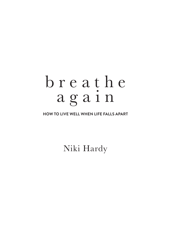# b r e a t h e again

### **HOW TO LIVE WELL WHEN LIFE FALLS APART**

Niki Hardy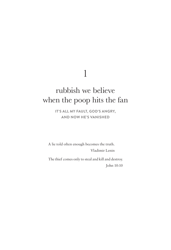# rubbish we believe when the poop hits the fan

**IT'S ALL MY FAULT, GOD'S ANGRY, AND NOW HE'S VANISHED**

A lie told often enough becomes the truth. Vladimir Lenin

The thief comes only to steal and kill and destroy. John 10:10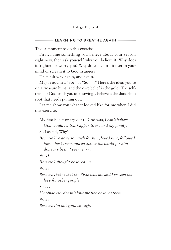Take a moment to do this exercise.

First, name something you believe about your season right now, then ask yourself why you believe it. Why does it frighten or worry you? Why do you churn it over in your mind or scream it to God in anger?

Then ask why again, and again.

Maybe add in a "So?" or "So . . ." Here's the idea: you're on a treasure hunt, and the core belief is the gold. The selftrash or God-trash you unknowingly believe is the dandelion root that needs pulling out.

Let me show you what it looked like for me when I did this exercise.

My first belief or cry out to God was, *I can't believe God would let this happen to me and my family.*

So I asked, Why?

*Because I've done so much for him, loved him, followed him—heck, even moved across the world for him done my best at every turn.*

Why?

*Because I thought he loved me.*

Why?

*Because that's what the Bible tells me and I've seen his love for other people.*

 $\mathsf{So} \dots$ 

*He obviously doesn't love me like he loves them.*

Why?

*Because I'm not good enough.*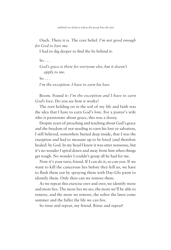Ouch. There it is. The core belief. *I'm not good enough for God to love me.*

I had to dig deeper to find the lie behind it.

 $So \ldots$ *God's grace is there for everyone else, but it doesn't apply to me.*  $So \ldots$ 

*I'm the exception. I have to earn his love.*

Boom. Found it: *I'm the exception and I have to earn God's love*. Do you see how it works?

The root holding on in the soil of my life and faith was the idea that I have to earn God's love. For a pastor's wife who is passionate about grace, this was a doozy.

Despite years of preaching and teaching about God's grace and the freedom of not needing to earn his love or salvation, I still believed, somewhere buried deep inside, that I was the exception and had to measure up to be loved (and therefore healed) by God. In my head I knew it was utter nonsense, but it's no wonder I spiral down and away from him when things get tough. No wonder I couldn't grasp all he had for me.

Now it's your turn, friend. If I can do it, so can you. If we want to kill the cancerous lies before they kill us, we have to flush them out by spraying them with Day-Glo paint to identify them. Only then can we remove them.

As we repeat this exercise over and over, we identify more and more lies. The more lies we see, the more we'll be able to remove, and the more we remove, the softer the lawn come summer and the fuller the life we can live.

So rinse and repeat, my friend. Rinse and repeat!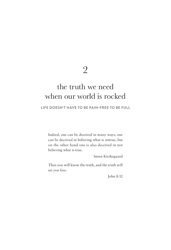# the truth we need when our world is rocked

### **LIFE DOESN'T HAVE TO BE PAIN-FREE TO BE FULL**

Indeed, one can be deceived in many ways; one can be deceived in believing what is untrue, but on the other hand one is also deceived in not believing what is true.

Søren Kierkegaard

Then you will know the truth, and the truth will set you free.

John 8:32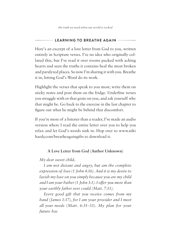Here's an excerpt of a love letter from God to you, written entirely in Scripture verses. I've no idea who originally collated this, but I've read it over rooms packed with aching hearts and seen the truths it contains heal the most broken and paralyzed places. So now I'm sharing it with you. Breathe it in, letting God's Word do its work.

Highlight the verses that speak to you most; write them on sticky notes and post them on the fridge. Underline verses you struggle with or that grate on you, and ask yourself why that might be. Go back to the exercise in the last chapter to figure out what lie might be behind that discomfort.

If you're more of a listener than a reader, I've made an audio version where I read the entire letter over you to help you relax and let God's words sink in. Hop over to www.niki hardy.com/breatheagaingifts to download it.

#### **A Love Letter from God (Author Unknown)**

### *My dear sweet child,*

*I am not distant and angry, but am the complete expression of love (1 John 4:16). And it is my desire to lavish my love on you simply because you are my child and I am your Father (1 John 3:1). I offer you more than your earthly father ever could (Matt. 7:11).*

*Every good gift that you receive comes from my hand (James 1:17), for I am your provider and I meet all your needs (Matt. 6:31–33). My plan for your future has*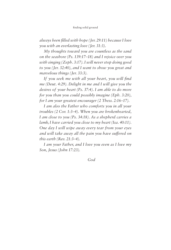#### finding solid groun

*always been filled with hope (Jer. 29:11) because I love you with an everlasting love (Jer. 31:3).*

*My thoughts toward you are countless as the sand on the seashore (Ps. 139:17–18) and I rejoice over you with singing (Zeph. 3:17). I will never stop doing good to you (Jer. 32:40), and I want to show you great and marvelous things (Jer. 33:3).*

*If you seek me with all your heart, you will find me (Deut. 4:29). Delight in me and I will give you the desires of your heart (Ps. 37:4). I am able to do more for you than you could possibly imagine (Eph. 3:20), for I am your greatest encourager (2 Thess. 2:16–17).*

*I am also the Father who comforts you in all your troubles (2 Cor. 1:3–4). When you are brokenhearted, I am close to you (Ps. 34:18). As a shepherd carries a lamb, I have carried you close to my heart (Isa. 40:11). One day I will wipe away every tear from your eyes and will take away all the pain you have suffered on this earth (Rev. 21:3–4).*

*I am your Father, and I love you even as I love my Son, Jesus (John 17:23).*

*God*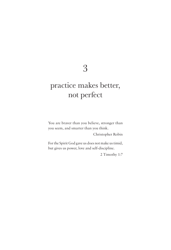# practice makes better, not perfect

You are braver than you believe, stronger than you seem, and smarter than you think.

Christopher Robin

For the Spirit God gave us does not make us timid, but gives us power, love and self-discipline.

2 Timothy 1:7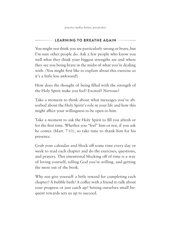You might not think you are particularly strong or brave, but I'm sure other people do. Ask a few people who know you well what they think your biggest strengths are and where they see you being brave in the midst of what you're dealing with. (You might first like to explain about this exercise so it's a little less awkward!)

How does the thought of being filled with the strength of the Holy Spirit make you feel? Excited? Nervous?

Take a moment to think about what messages you've absorbed about the Holy Spirit's role in your life and how this might affect your willingness to be open to him.

Take a moment to ask the Holy Spirit to fill you afresh or for the first time. Whether you "feel" him or not, if you ask he comes (Matt. 7:11), so take time to thank him for his presence.

Grab your calendar and block off some time every day or week to read each chapter and do the exercises, questions, and prayers. This intentional blocking off of time is a way of loving yourself, telling God you're willing, and getting the most out of the book.

Why not give yourself a little reward for completing each chapter? A bubble bath? A coffee with a friend to talk about your progress or just catch up? Setting ourselves small frequent rewards sets us up to succeed.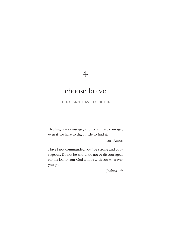### choose brave

**IT DOESN'T HAVE TO BE BIG**

Healing takes courage, and we all have courage, even if we have to dig a little to find it.

Tori Amos

Have I not commanded you? Be strong and courageous. Do not be afraid; do not be discouraged, for the LORD your God will be with you wherever you go.

Joshua 1:9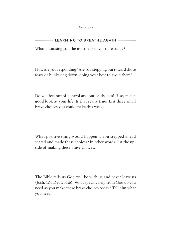What is causing you the most fear in your life today?

How are you responding? Are you stepping out toward those fears or hunkering down, doing your best to avoid them?

Do you feel out of control and out of choices? If so, take a good look at your life. Is that really true? List three small brave choices you could make this week.

What positive thing would happen if you stepped ahead scared and made these choices? In other words, list the upside of making these brave choices.

The Bible tells us God will be with us and never leave us (Josh. 1:9; Deut. 31:6). What specific help from God do you need as you make these brave choices today? Tell him what you need.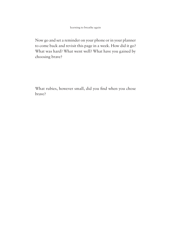Now go and set a reminder on your phone or in your planner to come back and revisit this page in a week. How did it go? What was hard? What went well? What have you gained by choosing brave?

What rubies, however small, did you find when you chose brave?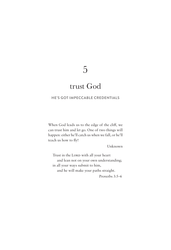### trust God

### **HE'S GOT IMPECCABLE CREDENTIALS**

When God leads us to the edge of the cliff, we can trust him and let go. One of two things will happen: either he'll catch us when we fall, or he'll teach us how to fly!

Unknown

Trust in the LORD with all your heart and lean not on your own understanding; in all your ways submit to him, and he will make your paths straight.

Proverbs 3:5–6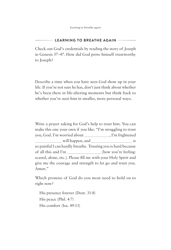Check out God's credentials by reading the story of Joseph in Genesis 37–47. How did God prove himself trustworthy to Joseph?

Describe a time when you have seen God show up in your life. If you're not sure he has, don't just think about whether he's been there in life-altering moments but think back to whether you've seen him in smaller, more personal ways.

Write a prayer asking for God's help to trust him. You can make this one your own if you like: "I'm struggling to trust you, God. I'm worried about \_\_\_\_\_\_\_\_\_\_\_\_, I'm frightened will happen, and  $\qquad \qquad$  is so painful I can hardly breathe. Trusting you is hard because of all this and I'm \_\_\_\_\_\_\_\_\_\_\_\_\_\_\_\_ [how you're feeling: scared, alone, etc.]. Please fill me with your Holy Spirit and give me the courage and strength to let go and trust you. Amen."

Which promise of God do you most need to hold on to right now?

His presence forever (Deut. 31:8) His peace (Phil. 4:7) His comfort (Isa. 49:13)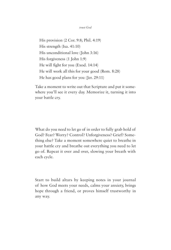*trust God*

His provision (2 Cor. 9:8; Phil. 4:19) His strength (Isa. 41:10) His unconditional love (John 3:16) His forgiveness (1 John 1:9) He will fight for you (Exod. 14:14) He will work all this for your good (Rom. 8:28) He has good plans for you (Jer. 29:11)

Take a moment to write out that Scripture and put it somewhere you'll see it every day. Memorize it, turning it into your battle cry.

What do you need to let go of in order to fully grab hold of God? Fear? Worry? Control? Unforgiveness? Grief? Something else? Take a moment somewhere quiet to breathe in your battle cry and breathe out everything you need to let go of. Repeat it over and over, slowing your breath with each cycle.

Start to build altars by keeping notes in your journal of how God meets your needs, calms your anxiety, brings hope through a friend, or proves himself trustworthy in any way.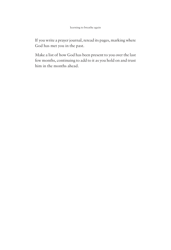If you write a prayer journal, reread its pages, marking where God has met you in the past.

Make a list of how God has been present to you over the last few months, continuing to add to it as you hold on and trust him in the months ahead.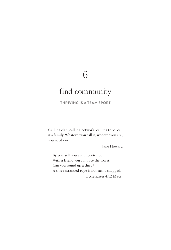# find community

**THRIVING IS A TEAM SPORT**

Call it a clan, call it a network, call it a tribe, call it a family. Whatever you call it, whoever you are, you need one.

Jane Howard

By yourself you are unprotected. With a friend you can face the worst. Can you round up a third? A three-stranded rope is not easily snapped. Ecclesiastes 4:12 MSG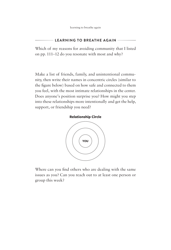Which of my reasons for avoiding community that I listed on pp. 111–12 do you resonate with most and why?

Make a list of friends, family, and unintentional community, then write their names in concentric circles (similar to the figure below) based on how safe and connected to them you feel, with the most intimate relationships in the center. Does anyone's position surprise you? How might you step into these relationships more intentionally and get the help, support, or friendship you need?

#### **Relationship Circle**



Where can you find others who are dealing with the same issues as you? Can you reach out to at least one person or group this week?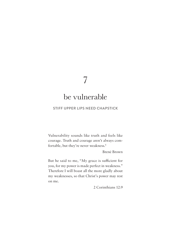### be vulnerable

**STIFF UPPER LIPS NEED CHAPSTICK**

Vulnerability sounds like truth and feels like courage. Truth and courage aren't always comfortable, but they're never weakness.**<sup>1</sup>**

Brené Brown

But he said to me, "My grace is sufficient for you, for my power is made perfect in weakness." Therefore I will boast all the more gladly about my weaknesses, so that Christ's power may rest on me.

2 Corinthians 12:9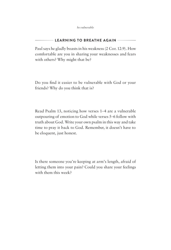Paul says he gladly boasts in his weakness (2 Cor. 12:9). How comfortable are you in sharing your weaknesses and fears with others? Why might that be?

Do you find it easier to be vulnerable with God or your friends? Why do you think that is?

Read Psalm 13, noticing how verses 1–4 are a vulnerable outpouring of emotion to God while verses 5–6 follow with truth about God. Write your own psalm in this way and take time to pray it back to God. Remember, it doesn't have to be eloquent, just honest.

Is there someone you're keeping at arm's length, afraid of letting them into your pain? Could you share your feelings with them this week?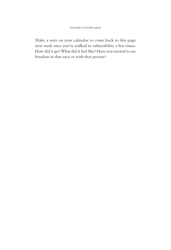Make a note on your calendar to come back to this page next week once you've walked in vulnerability a few times. How did it go? What did it feel like? Have you started to see freedom in that area or with that person?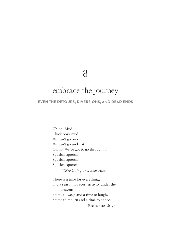### embrace the journey

### **EVEN THE DETOURS, DIVERSIONS, AND DEAD ENDS**

Uh-oh! Mud! Thick oozy mud. We can't go over it. We can't go under it. Oh no! We've got to go through it! Squelch squerch! Squelch squerch! Squelch squerch!

*We're Going on a Bear Hunt*

There is a time for everything, and a season for every activity under the heavens: . . . a time to weep and a time to laugh, a time to mourn and a time to dance.

Ecclesiastes 3:1, 4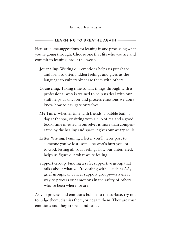Here are some suggestions for leaning in and processing what you're going through. Choose one that fits who you are and commit to leaning into it this week.

- **Journaling.** Writing our emotions helps us put shape and form to often hidden feelings and gives us the language to vulnerably share them with others.
- **Counseling.** Taking time to talk things through with a professional who is trained to help us deal with our stuff helps us uncover and process emotions we don't know how to navigate ourselves.
- **Me Time.** Whether time with friends, a bubble bath, a day at the spa, or sitting with a cup of tea and a good book, time invested in ourselves is more than compensated by the healing and space it gives our weary souls.
- **Letter Writing.** Penning a letter you'll never post to someone you've lost, someone who's hurt you, or to God, letting all your feelings flow out untethered, helps us figure out what we're feeling.
- **Support Group.** Finding a safe, supportive group that talks about what you're dealing with—such as AA, grief groups, or cancer support groups—is a great way to process our emotions in the safety of others who've been where we are.

As you process and emotions bubble to the surface, try not to judge them, dismiss them, or negate them. They are your emotions and they are real and valid.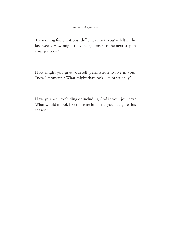Try naming five emotions (difficult or not) you've felt in the last week. How might they be signposts to the next step in your journey?

How might you give yourself permission to live in your "now" moments? What might that look like practically?

Have you been excluding or including God in your journey? What would it look like to invite him in as you navigate this season?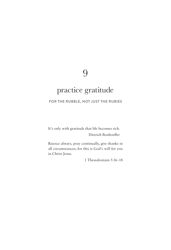# practice gratitude

### **FOR THE RUBBLE, NOT JUST THE RUBIES**

It's only with gratitude that life becomes rich. Dietrich Bonhoeffer

Rejoice always, pray continually, give thanks in all circumstances; for this is God's will for you in Christ Jesus.

1 Thessalonians 5:16–18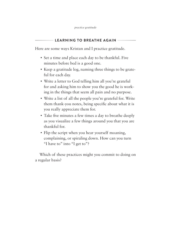Here are some ways Kristan and I practice gratitude.

- Set a time and place each day to be thankful. Five minutes before bed is a good one.
- Keep a gratitude log, naming three things to be grateful for each day.
- Write a letter to God telling him all you're grateful for and asking him to show you the good he is working in the things that seem all pain and no purpose.
- Write a list of all the people you're grateful for. Write them thank-you notes, being specific about what it is you really appreciate them for.
- Take five minutes a few times a day to breathe deeply as you visualize a few things around you that you are thankful for.
- Flip the script when you hear yourself moaning, complaining, or spiraling down. How can you turn "I have to" into "I get to"?

Which of these practices might you commit to doing on a regular basis?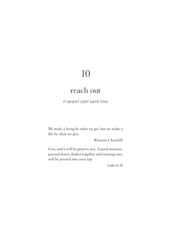### reach out

**IT MIGHT JUST SAVE YOU**

We make a living by what we get, but we make a life by what we give.

Winston Churchill

Give, and it will be given to you. A good measure, pressed down, shaken together and running over, will be poured into your lap.

Luke 6:38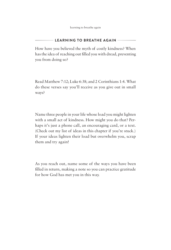How have you believed the myth of costly kindness? When has the idea of reaching out filled you with dread, preventing you from doing so?

Read Matthew 7:12; Luke 6:38; and 2 Corinthians 1:4. What do these verses say you'll receive as you give out in small ways?

Name three people in your life whose load you might lighten with a small act of kindness. How might you do that? Perhaps it's just a phone call, an encouraging card, or a text. (Check out my list of ideas in this chapter if you're stuck.) If your ideas lighten their load but overwhelm you, scrap them and try again!

As you reach out, name some of the ways you have been filled in return, making a note so you can practice gratitude for how God has met you in this way.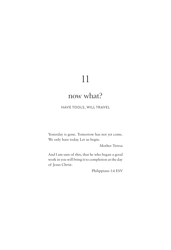### now what?

**HAVE TOOLS, WILL TRAVEL**

Yesterday is gone. Tomorrow has not yet come. We only have today. Let us begin.

Mother Teresa

And I am sure of this, that he who began a good work in you will bring it to completion at the day of Jesus Christ.

Philippians 1:6 ESV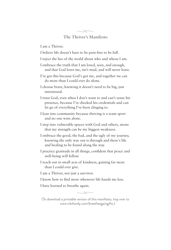### **The Thriver's Manifesto**  $\sim$

I am a Thriver.

- I believe life doesn't have to be pain-free to be full.
- I reject the lies of the world about who and whose I am.
- I embrace the truth that I am loved, seen, and enough, and that God loves me, isn't mad, and will never leave.
- I've got this because God's got me, and together we can do more than I could ever do alone.
- I choose brave, knowing it doesn't need to be big, just intentional.
- I trust God, even when I don't want to and can't sense his presence, because I've checked his credentials and can let go of everything I've been clinging to.
- I lean into community because thriving is a team sport and no one wins alone.
- I step into vulnerable spaces with God and others, aware that my strength can be my biggest weakness.
- I embrace the good, the bad, and the ugly of my journey, knowing the only way out is through and there's life and healing to be found along the way.
- I practice gratitude in all things, confident that peace and well-being will follow.
- I reach out in small acts of kindness, gaining far more than I could ever give.

I am a Thriver, not just a survivor.

I know how to find more whenever life hands me less.

I have learned to breathe again.

 $\overline{\phantom{a}}$ 

(To download a printable version of this manifesto, hop over to www.nikihardy.com/breatheagaingifts.)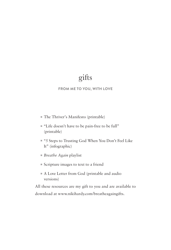# gifts

### **FROM ME TO YOU, WITH LOVE**

- $\blacksquare$  The Thriver's Manifesto (printable)
- "Life doesn't have to be pain-free to be full" (printable)
- "5 Steps to Trusting God When You Don't Feel Like It" (infographic)
- *Breathe Again* playlist
- **F** Scripture images to text to a friend
- A Love Letter from God (printable and audio versions)

All these resources are my gift to you and are available to download at www.nikihardy.com/breatheagaingifts.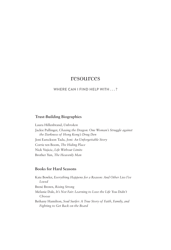### resources

#### **WHERE CAN I FIND HELP WITH . . . ?**

#### **Trust-Building Biographies**

Laura Hillenbrand, *Unbroken* Jackie Pullinger, *Chasing the Dragon: One Woman's Struggle against the Darkness of Hong Kong's Drug Den* Joni Eareckson Tada, *Joni: An Unforgettable Story* Corrie ten Boom, *The Hiding Place* Nick Vujicic, *Life Without Limits* Brother Yun, *The Heavenly Man*

### **Books for Hard Seasons**

Kate Bowler, *Everything Happens for a Reason: And Other Lies I've Loved* Brené Brown, *Rising Strong* Melanie Dale, *It's Not Fair: Learning to Love the Life You Didn't Choose* Bethany Hamilton, *Soul Surfer: A True Story of Faith, Family, and Fighting to Get Back on the Board*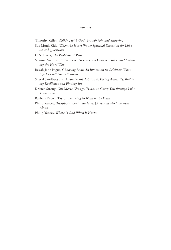#### *resources*

| Timothy Keller, Walking with God through Pain and Suffering                                                 |
|-------------------------------------------------------------------------------------------------------------|
| Sue Monk Kidd, When the Heart Waits: Spiritual Direction for Life's<br><i>Sacred Questions</i>              |
| C. S. Lewis, <i>The Problem of Pain</i>                                                                     |
| Shauna Niequist, Bittersweet: Thoughts on Change, Grace, and Learn-<br><i>ing the Hard Way</i>              |
| Bekah Jane Pogue, <i>Choosing Real: An Invitation to Celebrate When</i><br>Life Doesn't Go as Planned       |
| Sheryl Sandberg and Adam Grant, Option B: Facing Adversity, Build-<br><i>ing Resilience and Finding Joy</i> |
| Kristen Strong, Girl Meets Change: Truths to Carry You through Life's<br>Transitions                        |
| Barbara Brown Taylor, Learning to Walk in the Dark                                                          |
| Philip Yancey, Disappointment with God: Questions No One Asks<br>Aloud                                      |
| Philip Yancey, Where Is God When It Hurts?                                                                  |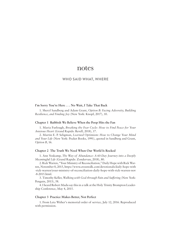### notes

#### **WHO SAID WHAT, WHERE**

#### **I'm Sorry You're Here . . . No Wait, I Take That Back**

1. Sheryl Sandberg and Adam Grant, *Option B: Facing Adversity, Building Resilience, and Finding Joy* (New York: Knopf, 2017), 10.

#### **Chapter 1 Rubbish We Believe When the Poop Hits the Fan**

1. Maria Furlough, *Breaking the Fear Cycle: How to Find Peace for Your Anxious Heart* (Grand Rapids: Revell, 2018), 17.

2. Martin E. P. Seligman, *Learned Optimism: How to Change Your Mind and Your Life* (New York: Pocket Books, 1991), quoted in Sandberg and Grant, *Option B*, 16.

#### **Chapter 2 The Truth We Need When Our World Is Rocked**

1. Ann Voskamp, *The Way of Abundance: A 60-Day Journey into a Deeply Meaningful Life* (Grand Rapids: Zondervan, 2018), 80.

2. Rick Warren, "Your Ministry of Reconciliation," Daily Hope with Rick Warren, November 8, 2015, https://www.crosswalk.com/devotionals/daily-hope-with -rick-warren/your-ministry-of-reconciliation-daily-hope-with-rick-warren-nov -8-2015.html.

3. Timothy Keller, *Walking with God through Pain and Suffering* (New York: Penguin, 2013), 58.

4. I heard Robert Madu say thisin a talk at the Holy Trinity Brompton Leadership Conference, May 4, 2015.

#### **Chapter 3 Practice Makes Better, Not Perfect**

1. From Leta Wither's memorial order of service, July 12, 2016. Reproduced with permission.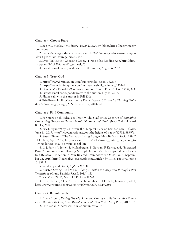#### **Chapter 4 Choose Brave**

1. Becky L. McCoy, "My Story," *Becky L. McCoy* (blog), https://beckylmccoy .com/about/.

2. https://www.goodreads.com/quotes/1270897-courage-doesn-t-mean-you -don-t-get-afraid-courage-means-you

3. Lysa TerKeurst, "Choosing Grace," First 5 Bible Reading App, http://first5 .org/plans/1-2%20Samuel/ff\_samuel\_25/.

4. Private email correspondence with the author, August 6, 2016.

#### **Chapter 5 Trust God**

1. https://www.brainyquote.com/quotes/mike\_tyson\_382439

2. https://www.brainyquote.com/quotes/marshall\_mcluhan\_130541

3. George MacDonald, *Phantastes* (London: Smith, Elder & Co., 1858), 323.

4. Private email correspondence with the author, July 19, 2017.

5. Phone call with the author in Fall 2016.

6. Erin Brown Hollis, *Cheers to the Diaper Years: 10 Truths for Thriving While Barely Surviving* (Savage, MN: Broadstreet, 2018), 61.

#### **Chapter 6 Find Community**

1. For more on this idea, see Tracy Wilde, *Finding the Lost Art of Empathy: Connecting Human to Human in this Disconnected World* (New York: Howard Books, 2017).

2. Eric Dregni, "Why Is Norway the Happiest Place on Earth?," *Star Tribune*, June 11, 2017, http://www.startribune.com/the-height-of-happy/427321393/#1.

3. Susan Pinker, "The Secret to Living Longer May Be Your Social Life," TED Talk, April 2017, https://www.ted.com/talks/susan\_pinker\_the\_secret\_to \_living\_longer\_may\_be\_your\_social\_life.

4. L. J. Ferris, J. Jetten, P. Molenberghs, B. Bastian, F. Karnadewi, "Increased Pain Communication following Multiple Group Memberships Salience Leads to a Relative Reduction in Pain-Related Brain Activity," *PLoS ONE*, September 22, 2016, http://journals.plos.org/plosone/article?id=10.1371/journal.pone .0163117.

5. Sandberg and Grant, *Option B*, 128.

6. Kristen Strong, *Girl Meets Change: Truths to Carry You through Life's Transitions* (Grand Rapids: Revell, 2015), 153.

7. See Matt. 27:56; Mark 15:40; Luke 8:2–3.

8. Brené Brown, "The Power of Vulnerability," TED Talk, January 3, 2011, https://www.youtube.com/watch?v=iCvmsMzlF7o&t=259s.

#### **Chapter 7 Be Vulnerable**

1. Brené Brown, *Daring Greatly: How the Courage to Be Vulnerable Transforms the Way We Live, Love, Parent, and Lead* (New York: Avery Press, 2017), 37.

2. Ferris et al., "Increased Pain Communication."